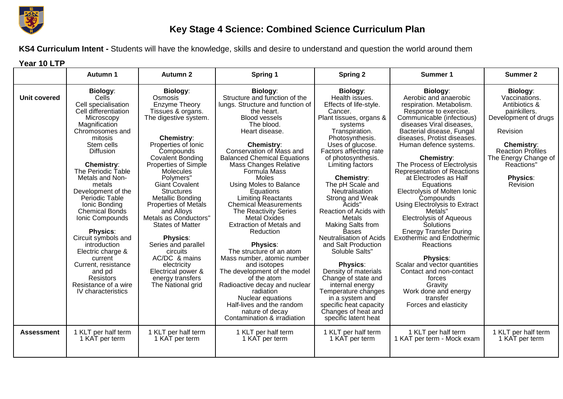

## **Key Stage 4 Science: Combined Science Curriculum Plan**

**KS4 Curriculum Intent -** Students will have the knowledge, skills and desire to understand and question the world around them

**Year 10 LTP**

|                     | <b>Autumn 1</b>                                                                                                                                                                                                                                                                                                                                                                                                                                                                                                                                        | <b>Autumn 2</b>                                                                                                                                                                                                                                                                                                                                                                                                                                                                                                                                         | Spring 1                                                                                                                                                                                                                                                                                                                                                                                                                                                                                                                                                                                                                                                                                                                                                                                              | <b>Spring 2</b>                                                                                                                                                                                                                                                                                                                                                                                                                                                                                                                                                                                                                                                                               | <b>Summer 1</b>                                                                                                                                                                                                                                                                                                                                                                                                                                                                                                                                                                                                                                                                                                                                    | <b>Summer 2</b>                                                                                                                                                                                                      |
|---------------------|--------------------------------------------------------------------------------------------------------------------------------------------------------------------------------------------------------------------------------------------------------------------------------------------------------------------------------------------------------------------------------------------------------------------------------------------------------------------------------------------------------------------------------------------------------|---------------------------------------------------------------------------------------------------------------------------------------------------------------------------------------------------------------------------------------------------------------------------------------------------------------------------------------------------------------------------------------------------------------------------------------------------------------------------------------------------------------------------------------------------------|-------------------------------------------------------------------------------------------------------------------------------------------------------------------------------------------------------------------------------------------------------------------------------------------------------------------------------------------------------------------------------------------------------------------------------------------------------------------------------------------------------------------------------------------------------------------------------------------------------------------------------------------------------------------------------------------------------------------------------------------------------------------------------------------------------|-----------------------------------------------------------------------------------------------------------------------------------------------------------------------------------------------------------------------------------------------------------------------------------------------------------------------------------------------------------------------------------------------------------------------------------------------------------------------------------------------------------------------------------------------------------------------------------------------------------------------------------------------------------------------------------------------|----------------------------------------------------------------------------------------------------------------------------------------------------------------------------------------------------------------------------------------------------------------------------------------------------------------------------------------------------------------------------------------------------------------------------------------------------------------------------------------------------------------------------------------------------------------------------------------------------------------------------------------------------------------------------------------------------------------------------------------------------|----------------------------------------------------------------------------------------------------------------------------------------------------------------------------------------------------------------------|
| <b>Unit covered</b> | Biology:<br>Cells <sup>®</sup><br>Cell specialisation<br>Cell differentiation<br>Microscopy<br>Magnification<br>Chromosomes and<br>mitosis<br>Stem cells<br><b>Diffusion</b><br><b>Chemistry:</b><br>The Periodic Table<br>Metals and Non-<br>metals<br>Development of the<br>Periodic Table<br>Ionic Bonding<br><b>Chemical Bonds</b><br>Ionic Compounds<br><b>Physics:</b><br>Circuit symbols and<br>introduction<br>Electric charge &<br>current<br>Current, resistance<br>and pd<br><b>Resistors</b><br>Resistance of a wire<br>IV characteristics | Biology:<br>Osmosis<br>Enzyme Theory<br>Tissues & organs.<br>The digestive system.<br><b>Chemistry:</b><br>Properties of Ionic<br>Compounds<br>Covalent Bonding<br>Properties of Simple<br><b>Molecules</b><br>Polymers"<br><b>Giant Covalent</b><br><b>Structures</b><br><b>Metallic Bonding</b><br><b>Properties of Metals</b><br>and Alloys<br>Metals as Conductors"<br><b>States of Matter</b><br><b>Physics:</b><br>Series and parallel<br>circuits<br>AC/DC & mains<br>electricity<br>Electrical power &<br>energy transfers<br>The National grid | <b>Biology:</b><br>Structure and function of the<br>lungs. Structure and function of<br>the heart.<br><b>Blood vessels</b><br>The blood.<br>Heart disease.<br><b>Chemistry:</b><br>Conservation of Mass and<br><b>Balanced Chemical Equations</b><br><b>Mass Changes Relative</b><br>Formula Mass<br>Moles<br>Using Moles to Balance<br>Equations<br><b>Limiting Reactants</b><br><b>Chemical Measurements</b><br><b>The Reactivity Series</b><br>Metal Oxides<br>Extraction of Metals and<br>Reduction<br><b>Physics:</b><br>The structure of an atom<br>Mass number, atomic number<br>and isotopes<br>The development of the model<br>of the atom<br>Radioactive decay and nuclear<br>radiation<br>Nuclear equations<br>Half-lives and the random<br>nature of decay<br>Contamination & irradiation | <b>Biology:</b><br>Health issues.<br>Effects of life-style.<br>Cancer.<br>Plant tissues, organs &<br>systems<br>Transpiration.<br>Photosynthesis.<br>Uses of glucose.<br>Factors affecting rate<br>of photosynthesis.<br>Limiting factors<br><b>Chemistry:</b><br>The pH Scale and<br>Neutralisation<br>Strong and Weak<br>Acids"<br>Reaction of Acids with<br>Metals<br><b>Making Salts from</b><br><b>Bases</b><br>Neutralisation of Acids<br>and Salt Production<br>Soluble Salts"<br><b>Physics:</b><br>Density of materials<br>Change of state and<br>internal energy<br>Temperature changes<br>in a system and<br>specific heat capacity<br>Changes of heat and<br>specific latent heat | Biology:<br>Aerobic and anaerobic<br>respiration. Metabolism.<br>Response to exercise.<br>Communicable (infectious)<br>diseases Viral diseases,<br>Bacterial disease, Fungal<br>diseases, Protist diseases.<br>Human defence systems.<br><b>Chemistry:</b><br>The Process of Electrolysis<br>Representation of Reactions<br>at Electrodes as Half<br>Equations<br>Electrolysis of Molten Ionic<br>Compounds<br>Using Electrolysis to Extract<br>Metals"<br><b>Electrolysis of Aqueous</b><br>Solutions<br><b>Energy Transfer During</b><br>Exothermic and Endothermic<br>Reactions<br><b>Physics:</b><br>Scalar and vector quantities<br>Contact and non-contact<br>forces<br>Gravity<br>Work done and energy<br>transfer<br>Forces and elasticity | Biology:<br>Vaccinations.<br>Antibiotics &<br>painkillers.<br>Development of drugs<br>Revision<br><b>Chemistry:</b><br><b>Reaction Profiles</b><br>The Energy Change of<br>Reactions'<br><b>Physics:</b><br>Revision |
| <b>Assessment</b>   | 1 KLT per half term<br>1 KAT per term                                                                                                                                                                                                                                                                                                                                                                                                                                                                                                                  | 1 KLT per half term<br>1 KAT per term                                                                                                                                                                                                                                                                                                                                                                                                                                                                                                                   | 1 KLT per half term<br>1 KAT per term                                                                                                                                                                                                                                                                                                                                                                                                                                                                                                                                                                                                                                                                                                                                                                 | 1 KLT per half term<br>1 KAT per term                                                                                                                                                                                                                                                                                                                                                                                                                                                                                                                                                                                                                                                         | 1 KLT per half term<br>1 KAT per term - Mock exam                                                                                                                                                                                                                                                                                                                                                                                                                                                                                                                                                                                                                                                                                                  | 1 KLT per half term<br>1 KAT per term                                                                                                                                                                                |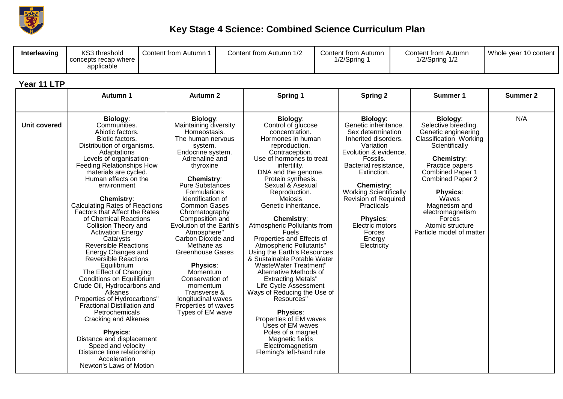

## **Key Stage 4 Science: Combined Science Curriculum Plan**

| Interleaving | KS3 threshold<br>concepts recap where<br>applicable | Content from Autumn | Autumn 1/2<br>Content from | Content from Autumn<br>1/2/Spring | Content from Autumn<br>$1/2$ /Spring $1/2$ | Whole year 10 content |
|--------------|-----------------------------------------------------|---------------------|----------------------------|-----------------------------------|--------------------------------------------|-----------------------|
|--------------|-----------------------------------------------------|---------------------|----------------------------|-----------------------------------|--------------------------------------------|-----------------------|

## **Year 11 LTP**

|                     | <b>Autumn 1</b>                                                                                                                                                                                                                                                                                                                                                                                                                                                                                                                                                                                                                                                                                                                                                                                                                                                                                        | <b>Autumn 2</b>                                                                                                                                                                                                                                                                                                                                                                                                                                                                                                                                | Spring 1                                                                                                                                                                                                                                                                                                                                                                                                                                                                                                                                                                                                                                                                                                                                                                                         | <b>Spring 2</b>                                                                                                                                                                                                                                                                                                                                     | Summer 1                                                                                                                                                                                                                                                                                                                    | <b>Summer 2</b> |
|---------------------|--------------------------------------------------------------------------------------------------------------------------------------------------------------------------------------------------------------------------------------------------------------------------------------------------------------------------------------------------------------------------------------------------------------------------------------------------------------------------------------------------------------------------------------------------------------------------------------------------------------------------------------------------------------------------------------------------------------------------------------------------------------------------------------------------------------------------------------------------------------------------------------------------------|------------------------------------------------------------------------------------------------------------------------------------------------------------------------------------------------------------------------------------------------------------------------------------------------------------------------------------------------------------------------------------------------------------------------------------------------------------------------------------------------------------------------------------------------|--------------------------------------------------------------------------------------------------------------------------------------------------------------------------------------------------------------------------------------------------------------------------------------------------------------------------------------------------------------------------------------------------------------------------------------------------------------------------------------------------------------------------------------------------------------------------------------------------------------------------------------------------------------------------------------------------------------------------------------------------------------------------------------------------|-----------------------------------------------------------------------------------------------------------------------------------------------------------------------------------------------------------------------------------------------------------------------------------------------------------------------------------------------------|-----------------------------------------------------------------------------------------------------------------------------------------------------------------------------------------------------------------------------------------------------------------------------------------------------------------------------|-----------------|
| <b>Unit covered</b> | <b>Biology:</b><br>Communities.<br>Abiotic factors.<br>Biotic factors.<br>Distribution of organisms.<br>Adaptations<br>Levels of organisation-<br>Feeding Relationships How<br>materials are cycled.<br>Human effects on the<br>environment<br><b>Chemistry:</b><br><b>Calculating Rates of Reactions</b><br><b>Factors that Affect the Rates</b><br>of Chemical Reactions<br>Collision Theory and<br><b>Activation Energy</b><br>Catalysts<br><b>Reversible Reactions</b><br>Energy Changes and<br>Reversible Reactions<br>Equilibrium<br>The Effect of Changing<br>Conditions on Equilibrium<br>Crude Oil, Hydrocarbons and<br>Alkanes<br>Properties of Hydrocarbons"<br><b>Fractional Distillation and</b><br>Petrochemicals<br>Cracking and Alkenes<br><b>Physics:</b><br>Distance and displacement<br>Speed and velocity<br>Distance time relationship<br>Acceleration<br>Newton's Laws of Motion | Biology:<br>Maintaining diversity<br>Homeostasis.<br>The human nervous<br>system.<br>Endocrine system.<br>Adrenaline and<br>thyroxine<br><b>Chemistry:</b><br><b>Pure Substances</b><br>Formulations<br>Identification of<br><b>Common Gases</b><br>Chromatography<br>Composition and<br>Evolution of the Earth's<br>Atmosphere"<br>Carbon Dioxide and<br>Methane as<br><b>Greenhouse Gases</b><br><b>Physics:</b><br>Momentum<br>Conservation of<br>momentum<br>Transverse &<br>longitudinal waves<br>Properties of waves<br>Types of EM wave | <b>Biology:</b><br>Control of glucose<br>concentration.<br>Hormones in human<br>reproduction.<br>Contraception.<br>Use of hormones to treat<br>infertility.<br>DNA and the genome.<br>Protein synthesis.<br>Sexual & Asexual<br>Reproduction.<br>Meiosis<br>Genetic inheritance.<br><b>Chemistry:</b><br>Atmospheric Pollutants from<br><b>Fuels</b><br>Properties and Effects of<br>Atmospheric Pollutants"<br>Using the Earth's Resources<br>& Sustainable Potable Water<br><b>WasteWater Treatment"</b><br>Alternative Methods of<br><b>Extracting Metals"</b><br>Life Cycle Assessment<br>Ways of Reducing the Use of<br>Resources'<br><b>Physics:</b><br>Properties of EM waves<br>Uses of EM waves<br>Poles of a magnet<br>Magnetic fields<br>Electromagnetism<br>Fleming's left-hand rule | <b>Biology:</b><br>Genetic inheritance.<br>Sex determination<br>Inherited disorders.<br>Variation<br>Evolution & evidence.<br>Fossils.<br>Bacterial resistance,<br>Extinction.<br><b>Chemistry:</b><br><b>Working Scientifically</b><br>Revision of Required<br>Practicals<br><b>Physics:</b><br>Electric motors<br>Forces<br>Energy<br>Electricity | Biology:<br>Selective breeding.<br>Genetic engineering<br>Classification Working<br>Scientifically<br><b>Chemistry:</b><br>Practice papers<br><b>Combined Paper 1</b><br><b>Combined Paper 2</b><br><b>Physics:</b><br>Waves<br>Magnetism and<br>electromagnetism<br>Forces<br>Atomic structure<br>Particle model of matter | N/A             |